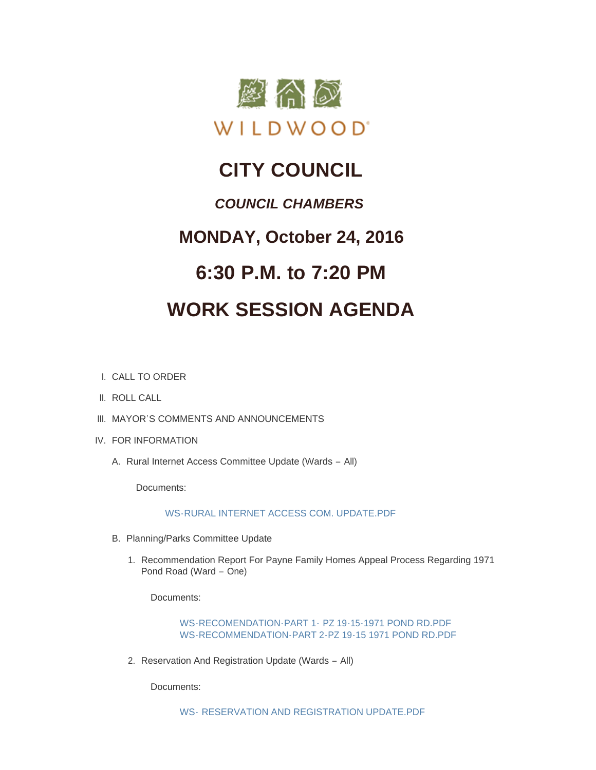

## **CITY COUNCIL**

### *COUNCIL CHAMBERS*

### **MONDAY, October 24, 2016**

## **6:30 P.M. to 7:20 PM**

# **WORK SESSION AGENDA**

- CALL TO ORDER I.
- II. ROLL CALL
- III. MAYOR'S COMMENTS AND ANNOUNCEMENTS
- IV. FOR INFORMATION
	- A. Rural Internet Access Committee Update (Wards All)

Documents:

### [WS-RURAL INTERNET ACCESS COM. UPDATE.PDF](http://mo-wildwood.civicplus.com/AgendaCenter/ViewFile/Item/8539?fileID=12806)

- B. Planning/Parks Committee Update
	- 1. Recommendation Report For Payne Family Homes Appeal Process Regarding 1971 Pond Road (Ward – One)

Documents:

[WS-RECOMENDATION-PART 1-](http://mo-wildwood.civicplus.com/AgendaCenter/ViewFile/Item/8541?fileID=12807) PZ 19-15-1971 POND RD.PDF [WS-RECOMMENDATION-PART 2-PZ 19-15 1971 POND RD.PDF](http://mo-wildwood.civicplus.com/AgendaCenter/ViewFile/Item/8541?fileID=12808)

2. Reservation And Registration Update (Wards - All)

Documents: